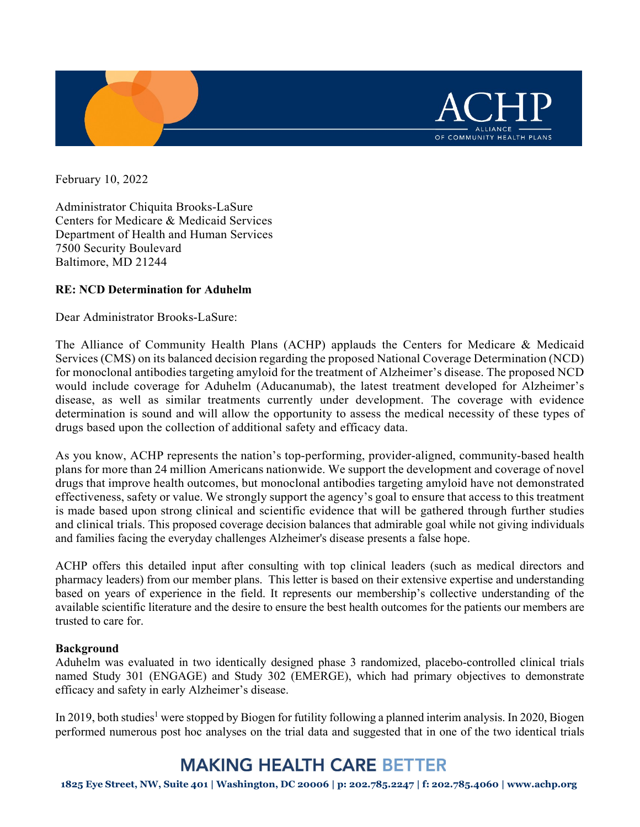

February 10, 2022

Administrator Chiquita Brooks-LaSure Centers for Medicare & Medicaid Services Department of Health and Human Services 7500 Security Boulevard Baltimore, MD 21244

## **RE: NCD Determination for Aduhelm**

Dear Administrator Brooks-LaSure:

The Alliance of Community Health Plans (ACHP) applauds the Centers for Medicare & Medicaid Services (CMS) on its balanced decision regarding the proposed National Coverage Determination (NCD) for monoclonal antibodies targeting amyloid for the treatment of Alzheimer's disease. The proposed NCD would include coverage for Aduhelm (Aducanumab), the latest treatment developed for Alzheimer's disease, as well as similar treatments currently under development. The coverage with evidence determination is sound and will allow the opportunity to assess the medical necessity of these types of drugs based upon the collection of additional safety and efficacy data.

As you know, ACHP represents the nation's top-performing, provider-aligned, community-based health plans for more than 24 million Americans nationwide. We support the development and coverage of novel drugs that improve health outcomes, but monoclonal antibodies targeting amyloid have not demonstrated effectiveness, safety or value. We strongly support the agency's goal to ensure that access to this treatment is made based upon strong clinical and scientific evidence that will be gathered through further studies and clinical trials. This proposed coverage decision balances that admirable goal while not giving individuals and families facing the everyday challenges Alzheimer's disease presents a false hope.

ACHP offers this detailed input after consulting with top clinical leaders (such as medical directors and pharmacy leaders) from our member plans. This letter is based on their extensive expertise and understanding based on years of experience in the field. It represents our membership's collective understanding of the available scientific literature and the desire to ensure the best health outcomes for the patients our members are trusted to care for.

#### **Background**

Aduhelm was evaluated in two identically designed phase 3 randomized, placebo-controlled clinical trials named Study 301 (ENGAGE) and Study 302 (EMERGE), which had primary objectives to demonstrate efficacy and safety in early Alzheimer's disease.

In 2019, both studies<sup>1</sup> were stopped by Biogen for futility following a planned interim analysis. In 2020, Biogen performed numerous post hoc analyses on the trial data and suggested that in one of the two identical trials

# **MAKING HEALTH CARE BETTER**

1825 Eye Street, NW, Suite 401 | Washington, DC 20006 | p: 202.785.2247 | f: 202.785.4060 | [www.achp.org](http://www.achp.org/)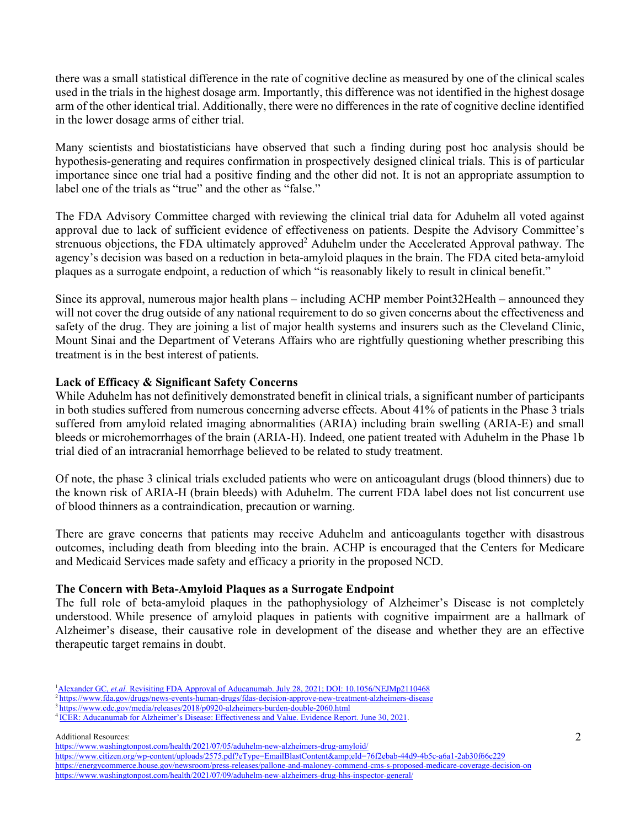there was a small statistical difference in the rate of cognitive decline as measured by one of the clinical scales used in the trials in the highest dosage arm. Importantly, this difference was not identified in the highest dosage arm of the other identical trial. Additionally, there were no differences in the rate of cognitive decline identified in the lower dosage arms of either trial.

Many scientists and biostatisticians have observed that such a finding during post hoc analysis should be hypothesis-generating and requires confirmation in prospectively designed clinical trials. This is of particular importance since one trial had a positive finding and the other did not. It is not an appropriate assumption to label one of the trials as "true" and the other as "false."

The FDA Advisory Committee charged with reviewing the clinical trial data for Aduhelm all voted against approval due to lack of sufficient evidence of effectiveness on patients. Despite the Advisory Committee's strenuous objections, the FDA ultimately approved<sup>2</sup> Aduhelm under the Accelerated Approval pathway. The agency's decision was based on a reduction in beta-amyloid plaques in the brain. The FDA cited beta-amyloid plaques as a surrogate endpoint, a reduction of which "is reasonably likely to result in clinical benefit."

Since its approval, numerous major health plans – including ACHP member Point32Health – announced they will not cover the drug outside of any national requirement to do so given concerns about the effectiveness and safety of the drug. They are joining a list of major health systems and insurers such as the Cleveland Clinic, Mount Sinai and the Department of Veterans Affairs who are rightfully questioning whether prescribing this treatment is in the best interest of patients.

## **Lack of Efficacy & Significant Safety Concerns**

While Aduhelm has not definitively demonstrated benefit in clinical trials, a significant number of participants in both studies suffered from numerous concerning adverse effects. About 41% of patients in the Phase 3 trials suffered from amyloid related imaging abnormalities (ARIA) including brain swelling (ARIA-E) and small bleeds or microhemorrhages of the brain (ARIA-H). Indeed, one patient treated with Aduhelm in the Phase 1b trial died of an intracranial hemorrhage believed to be related to study treatment.

Of note, the phase 3 clinical trials excluded patients who were on anticoagulant drugs (blood thinners) due to the known risk of ARIA-H (brain bleeds) with Aduhelm. The current FDA label does not list concurrent use of blood thinners as a contraindication, precaution or warning.

There are grave concerns that patients may receive Aduhelm and anticoagulants together with disastrous outcomes, including death from bleeding into the brain. ACHP is encouraged that the Centers for Medicare and Medicaid Services made safety and efficacy a priority in the proposed NCD.

#### **The Concern with Beta-Amyloid Plaques as a Surrogate Endpoint**

The full role of beta-amyloid plaques in the pathophysiology of Alzheimer's Disease is not completely understood. While presence of amyloid plaques in patients with cognitive impairment are a hallmark of Alzheimer's disease, their causative role in development of the disease and whether they are an effective therapeutic target remains in doubt.

Additional Resources:

<sup>&</sup>lt;sup>1</sup>Alexander GC, *et.al.* [Revisiting FDA Approval of Aducanumab. July 28, 2021; DOI: 10.1056/NEJMp2110468](https://www.nejm.org/doi/full/10.1056/NEJMp2110468)

<sup>&</sup>lt;sup>2</sup> <https://www.fda.gov/drugs/news-events-human-drugs/fdas-decision-approve-new-treatment-alzheimers-disease>

<sup>3</sup> https://www.cdc.gov/media/releases/2018/p0920-alzheimers-burden-double-2060.html

<sup>4</sup> [ICER: Aducanumab for Alzheimer's Disease: Effectiveness and Value. Evidence Report. June 30, 2021.](https://icer.org/wp-content/uploads/2020/10/ICER_ALZ_Revised_Evidence_Report_06302021.pdf)

<https://www.washingtonpost.com/health/2021/07/05/aduhelm-new-alzheimers-drug-amyloid/>

<https://www.citizen.org/wp-content/uploads/2575.pdf?eType=EmailBlastContent&eId=76f2ebab-44d9-4b5c-a6a1-2ab30f66c229> <https://energycommerce.house.gov/newsroom/press-releases/pallone-and-maloney-commend-cms-s-proposed-medicare-coverage-decision-on> <https://www.washingtonpost.com/health/2021/07/09/aduhelm-new-alzheimers-drug-hhs-inspector-general/>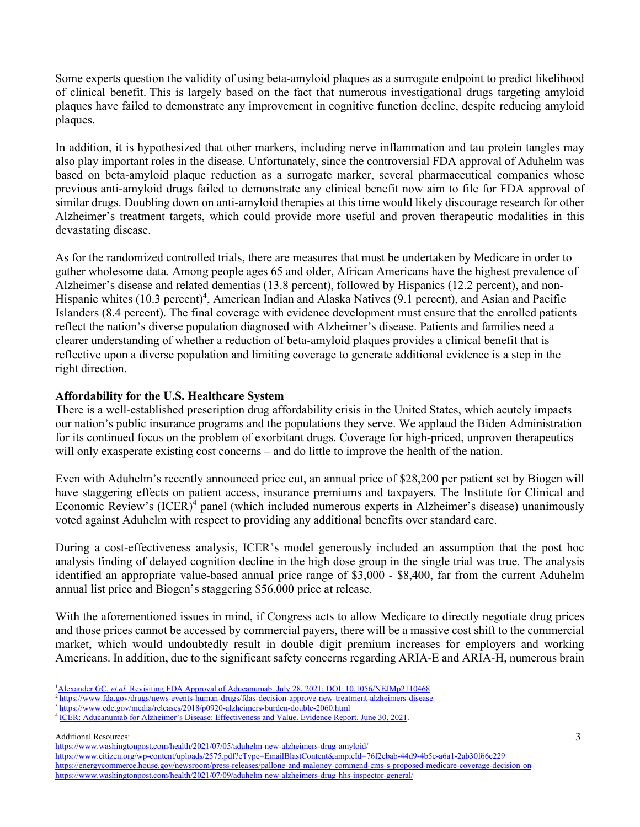Some experts question the validity of using beta-amyloid plaques as a surrogate endpoint to predict likelihood of clinical benefit. This is largely based on the fact that numerous investigational drugs targeting amyloid plaques have failed to demonstrate any improvement in cognitive function decline, despite reducing amyloid plaques.

In addition, it is hypothesized that other markers, including nerve inflammation and tau protein tangles may also play important roles in the disease. Unfortunately, since the controversial FDA approval of Aduhelm was based on beta-amyloid plaque reduction as a surrogate marker, several pharmaceutical companies whose previous anti-amyloid drugs failed to demonstrate any clinical benefit now aim to file for FDA approval of similar drugs. Doubling down on anti-amyloid therapies at this time would likely discourage research for other Alzheimer's treatment targets, which could provide more useful and proven therapeutic modalities in this devastating disease.

As for the randomized controlled trials, there are measures that must be undertaken by Medicare in order to gather wholesome data. Among people ages 65 and older, African Americans have the highest prevalence of Alzheimer's disease and related dementias (13.8 percent), followed by Hispanics (12.2 percent), and non-Hispanic whites (10.3 percent)<sup>4</sup>, American Indian and Alaska Natives (9.1 percent), and Asian and Pacific Islanders (8.4 percent). The final coverage with evidence development must ensure that the enrolled patients reflect the nation's diverse population diagnosed with Alzheimer's disease. Patients and families need a clearer understanding of whether a reduction of beta-amyloid plaques provides a clinical benefit that is reflective upon a diverse population and limiting coverage to generate additional evidence is a step in the right direction.

## **Affordability for the U.S. Healthcare System**

There is a well-established prescription drug affordability crisis in the United States, which acutely impacts our nation's public insurance programs and the populations they serve. We applaud the Biden Administration for its continued focus on the problem of exorbitant drugs. Coverage for high-priced, unproven therapeutics will only exasperate existing cost concerns – and do little to improve the health of the nation.

Even with Aduhelm's recently announced price cut, an annual price of \$28,200 per patient set by Biogen will have staggering effects on patient access, insurance premiums and taxpayers. The Institute for Clinical and Economic Review's  $(ICER)^4$  panel (which included numerous experts in Alzheimer's disease) unanimously voted against Aduhelm with respect to providing any additional benefits over standard care.

During a cost-effectiveness analysis, ICER's model generously included an assumption that the post hoc analysis finding of delayed cognition decline in the high dose group in the single trial was true. The analysis identified an appropriate value-based annual price range of \$3,000 - \$8,400, far from the current Aduhelm annual list price and Biogen's staggering \$56,000 price at release.

With the aforementioned issues in mind, if Congress acts to allow Medicare to directly negotiate drug prices and those prices cannot be accessed by commercial payers, there will be a massive cost shift to the commercial market, which would undoubtedly result in double digit premium increases for employers and working Americans. In addition, due to the significant safety concerns regarding ARIA-E and ARIA-H, numerous brain

Additional Resources:

<https://www.washingtonpost.com/health/2021/07/05/aduhelm-new-alzheimers-drug-amyloid/>

<https://www.citizen.org/wp-content/uploads/2575.pdf?eType=EmailBlastContent&eId=76f2ebab-44d9-4b5c-a6a1-2ab30f66c229> <https://energycommerce.house.gov/newsroom/press-releases/pallone-and-maloney-commend-cms-s-proposed-medicare-coverage-decision-on> <https://www.washingtonpost.com/health/2021/07/09/aduhelm-new-alzheimers-drug-hhs-inspector-general/>

<sup>&</sup>lt;sup>1</sup>Alexander GC, *et.al.* [Revisiting FDA Approval of Aducanumab. July 28, 2021; DOI: 10.1056/NEJMp2110468](https://www.nejm.org/doi/full/10.1056/NEJMp2110468)

<sup>&</sup>lt;sup>2</sup> <https://www.fda.gov/drugs/news-events-human-drugs/fdas-decision-approve-new-treatment-alzheimers-disease>

<sup>3</sup> https://www.cdc.gov/media/releases/2018/p0920-alzheimers-burden-double-2060.html

<sup>4</sup> [ICER: Aducanumab for Alzheimer's Disease: Effectiveness and Value. Evidence Report. June 30, 2021.](https://icer.org/wp-content/uploads/2020/10/ICER_ALZ_Revised_Evidence_Report_06302021.pdf)